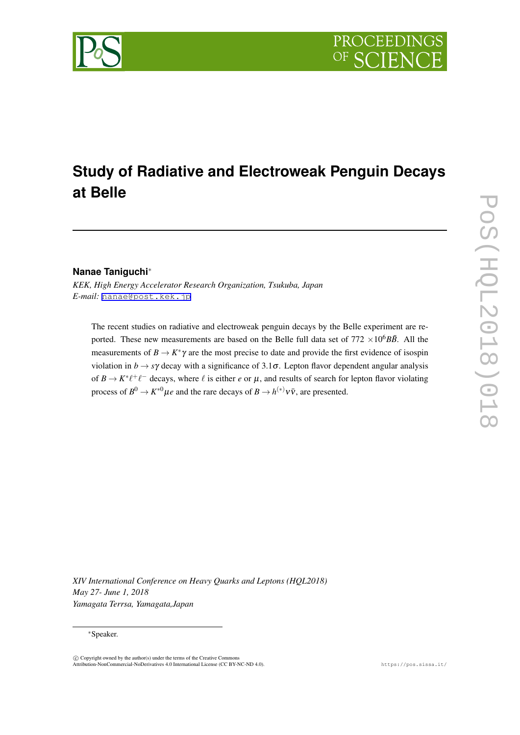# **Study of Radiative and Electroweak Penguin Decays at Belle**

## **Nanae Taniguchi***∗*

*KEK, High Energy Accelerator Research Organization, Tsukuba, Japan E-mail:* [nanae@post.kek.jp](mailto:nanae@post.kek.jp)

The recent studies on radiative and electroweak penguin decays by the Belle experiment are reported. These new measurements are based on the Belle full data set of  $772 \times 10^6 B\overline{B}$ . All the measurements of  $B \to K^*\gamma$  are the most precise to date and provide the first evidence of isospin violation in  $b \rightarrow s\gamma$  decay with a significance of 3.1 $\sigma$ . Lepton flavor dependent angular analysis of  $B \to K^* \ell^+ \ell^-$  decays, where  $\ell$  is either  $e$  or  $\mu$ , and results of search for lepton flavor violating process of  $B^0 \to K^{*0} \mu e$  and the rare decays of  $B \to h^{(*)} \nu \bar{\nu}$ , are presented.

*XIV International Conference on Heavy Quarks and Leptons (HQL2018) May 27- June 1, 2018 Yamagata Terrsa, Yamagata,Japan*

#### *∗*Speaker.

 $\circled{c}$  Copyright owned by the author(s) under the terms of the Creative Common Attribution-NonCommercial-NoDerivatives 4.0 International License (CC BY-NC-ND 4.0). https://pos.sissa.it/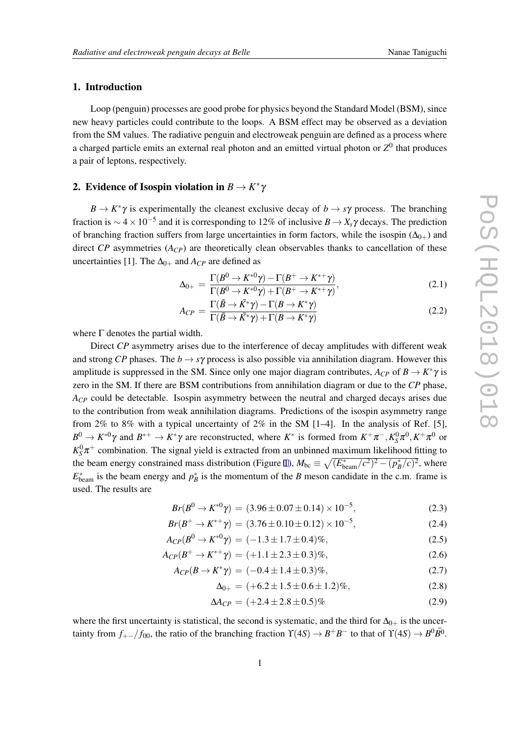## 1. Introduction

Loop (penguin) processes are good probe for physics beyond the Standard Model (BSM), since new heavy particles could contribute to the loops. A BSM effect may be observed as a deviation from the SM values. The radiative penguin and electroweak penguin are defined as a process where a charged particle emits an external real photon and an emitted virtual photon or  $Z^0$  that produces a pair of leptons, respectively.

## 2. Evidence of Isospin violation in  $B \to K^* \gamma$

 $B \to K^* \gamma$  is experimentally the cleanest exclusive decay of  $b \to s\gamma$  process. The branching fraction is *<sup>∼</sup>* <sup>4</sup>*×*10*−*<sup>5</sup> and it is corresponding to 12% of inclusive *B → Xs*<sup>γ</sup> decays. The prediction of branching fraction suffers from large uncertainties in form factors, while the isospin  $(\Delta_{0+})$  and direct *CP* asymmetries (*ACP*) are theoretically clean observables thanks to cancellation of these uncertainties [1]. The  $\Delta_{0+}$  and  $A_{CP}$  are defined as

$$
\Delta_{0+} = \frac{\Gamma(B^0 \to K^{*0}\gamma) - \Gamma(B^+ \to K^{*+}\gamma)}{\Gamma(B^0 \to K^{*0}\gamma) + \Gamma(B^+ \to K^{*+}\gamma)},
$$
\n(2.1)

$$
A_{CP} = \frac{\Gamma(\bar{B} \to \bar{K^*}\gamma) - \Gamma(B \to K^*\gamma)}{\Gamma(\bar{B} \to \bar{K^*}\gamma) + \Gamma(B \to K^*\gamma)}
$$
(2.2)

where  $\Gamma$  denotes the partial width.

Direct *CP* asymmetry arises due to the interference of decay amplitudes with different weak and strong *CP* phases. The  $b \rightarrow s\gamma$  process is also possible via annihilation diagram. However this amplitude is suppressed in the SM. Since only one major diagram contributes,  $A_{CP}$  of  $B \to K^* \gamma$  is zero in the SM. If there are BSM contributions from annihilation diagram or due to the *CP* phase, *A<sub>CP</sub>* could be detectable. Isospin asymmetry between the neutral and charged decays arises due to the contribution from weak annihilation diagrams. Predictions of the isospin asymmetry range from 2% to 8% with a typical uncertainty of 2% in the SM [1–4]. In the analysis of Ref. [5],  $B^0 \to K^{*0} \gamma$  and  $B^{*+} \to K^* \gamma$  are reconstructed, where  $K^*$  is formed from  $K^+ \pi^-, K^0_S \pi^0, K^+ \pi^0$  or  $K_S^0\pi^+$  combination. The signal yield is extracted from an unbinned maximum likelihood fitting to the beam energy constrained mass distribution (Figure [1](#page-2-0)),  $M_{bc} \equiv \sqrt{(E_{beam}^*/c^2)^2 - (p_B^*/c^2)^2}$ , where  $E_{\text{beam}}^*$  is the beam energy and  $p_B^*$  is the momentum of the *B* meson candidate in the c.m. frame is used. The results are

$$
Br(B^0 \to K^{*0}\gamma) = (3.96 \pm 0.07 \pm 0.14) \times 10^{-5},\tag{2.3}
$$

$$
Br(B^+ \to K^{*+}\gamma) = (3.76 \pm 0.10 \pm 0.12) \times 10^{-5},\tag{2.4}
$$

$$
A_{CP}(B^0 \to K^{*0}\gamma) = (-1.3 \pm 1.7 \pm 0.4)\%,\tag{2.5}
$$

$$
A_{CP}(B^+ \to K^{*+}\gamma) = (+1.1 \pm 2.3 \pm 0.3)\%,\tag{2.6}
$$

$$
A_{CP}(B \to K^* \gamma) = (-0.4 \pm 1.4 \pm 0.3)\%,\tag{2.7}
$$

$$
\Delta_{0+} = (+6.2 \pm 1.5 \pm 0.6 \pm 1.2)\%,\tag{2.8}
$$

$$
\Delta A_{CP} = (+2.4 \pm 2.8 \pm 0.5)\% \tag{2.9}
$$

where the first uncertainty is statistical, the second is systematic, and the third for  $\Delta_{0+}$  is the uncertainty from  $f_{+-}/f_{00}$ , the ratio of the branching fraction  $\Upsilon(4S) \to B^+B^-$  to that of  $\Upsilon(4S) \to B^0\overline{B^0}$ .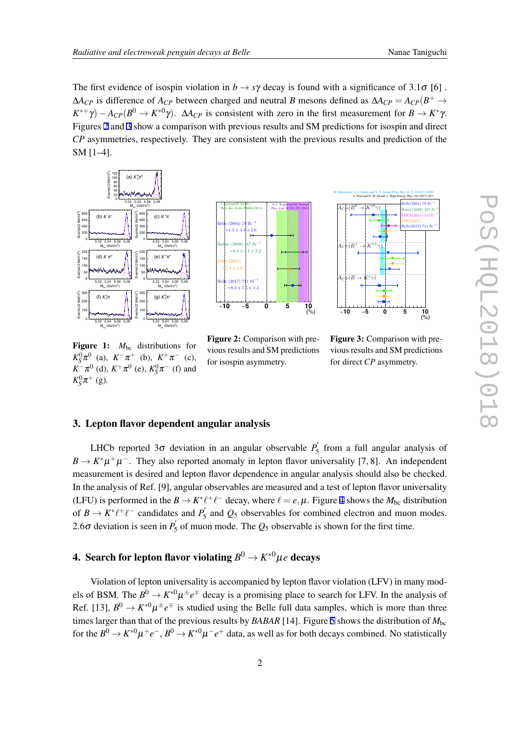<span id="page-2-0"></span>The first evidence of isospin violation in  $b \to s\gamma$  decay is found with a significance of 3.1 $\sigma$  [6].  $\Delta A_{CP}$  is difference of  $A_{CP}$  between charged and neutral *B* mesons defined as  $\Delta A_{CP} = A_{CP}(B^+ \rightarrow$ *K*<sup>\*+</sup>γ) − *ACP*(*B*<sup>0</sup> → *K*<sup>\*0</sup>γ). Δ*A<sub><i>CP*</sub> is consistent with zero in the first measurement for *B* → *K*<sup>\*</sup>γ. Figures 2 and 3 show a comparison with previous results and SM predictions for isospin and direct *CP* asymmetries, respectively. They are consistent with the previous results and prediction of the SM [1–4].



 $M_{\rm bc}$  (GeV/c<sup>2</sup>) ?)  $M_{bc}$  (Ge 5.22 5.24 5.26 5.28 Figure 1:  $M_{bc}$  distributions for  $K_S^0 \pi^0$  (a),  $K^- \pi^+$  (b),  $K^+ \pi^-$  (c),  $K^- \pi^0$  (d),  $K^+ \pi^0$  (e),  $K_S^0 \pi^-$  (f) and

 $K^0_S \pi^+$  (g).



Figure 2: Comparison with previous results and SM predictions for isospin asymmetry.



Figure 3: Comparison with previous results and SM predictions for direct *CP* asymmetry.

## 3. Lepton flavor dependent angular analysis

LHCb reported  $3\sigma$  deviation in an angular observable  $P'_{5}$  from a full angular analysis of  $B \to K^* \mu^+ \mu^-$ . They also reported anomaly in lepton flavor universality [7, 8]. An independent measurement is desired and lepton flavor dependence in angular analysis should also be checked. In the analysis of Ref. [9], angular observables are measured and a test of lepton flavor universality (LFU) is performed in the  $B \to K^* \ell^+ \ell^-$  decay, where  $\ell = e, \mu$ . Figure [4](#page-3-0) shows the  $M_{bc}$  distribution of  $B \to K^* \ell^+ \ell^-$  candidates and  $P'_5$  and  $Q_5$  observables for combined electron and muon modes. 2.6 $\sigma$  deviation is seen in  $P'_{5}$  of muon mode. The  $Q_{5}$  observable is shown for the first time.

## 4. Search for lepton flavor violating  $B^0 \to K^{*0} \mu e$  decays

Violation of lepton universality is accompanied by lepton flavor violation (LFV) in many models of BSM. The  $B^0 \to K^{*0} \mu^{\pm} e^{\mp}$  decay is a promising place to search for LFV. In the analysis of Ref. [13],  $B^0 \to K^{*0} \mu^{\pm} e^{\mp}$  is studied using the Belle full data samples, which is more than three times larger than that of the previous results by *BABAR* [14]. Figure [5](#page-4-0) shows the distribution of  $M_{bc}$ for the  $B^0 \to K^{*0} \mu^+ e^-$ ,  $B^0 \to K^{*0} \mu^- e^+$  data, as well as for both decays combined. No statistically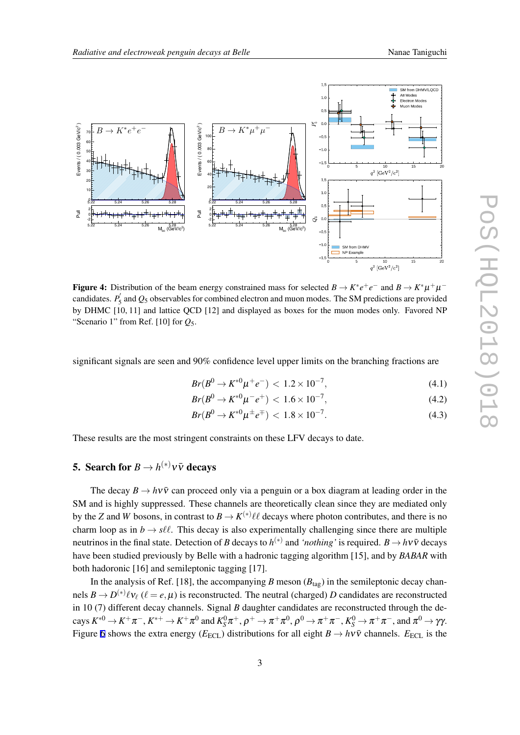<span id="page-3-0"></span>

Figure 4: Distribution of the beam energy constrained mass for selected  $B \to K^* e^+ e^-$  and  $B \to K^* \mu^+ \mu^$ candidates.  $P'_{5}$  and  $Q_{5}$  observables for combined electron and muon modes. The SM predictions are provided by DHMC [10, 11] and lattice QCD [12] and displayed as boxes for the muon modes only. Favored NP "Scenario 1" from Ref. [10] for  $Q_5$ .

significant signals are seen and 90% confidence level upper limits on the branching fractions are

$$
Br(B^0 \to K^{*0} \mu^+ e^-) < 1.2 \times 10^{-7},\tag{4.1}
$$

$$
Br(B^0 \to K^{*0} \mu^- e^+) < 1.6 \times 10^{-7},\tag{4.2}
$$

$$
Br(B^0 \to K^{*0} \mu^{\pm} e^{\mp}) < 1.8 \times 10^{-7}.
$$
 (4.3)

These results are the most stringent constraints on these LFV decays to date.

## 5. Search for  $B \to h^{(*)} \nu \bar{\nu}$  decays

The decay  $B \to h\nu\bar{\nu}$  can proceed only via a penguin or a box diagram at leading order in the SM and is highly suppressed. These channels are theoretically clean since they are mediated only by the *Z* and *W* bosons, in contrast to  $B \to K^{(*)} \ell \ell$  decays where photon contributes, and there is no charm loop as in  $b \rightarrow s\ell\ell$ . This decay is also experimentally challenging since there are multiple neutrinos in the final state. Detection of *B* decays to  $h^{(*)}$  and *'nothing'* is required.  $B \to h \nu \bar{\nu}$  decays have been studied previously by Belle with a hadronic tagging algorithm [15], and by *BABAR* with both hadoronic [16] and semileptonic tagging [17].

In the analysis of Ref. [18], the accompanying *B* meson  $(B_{tag})$  in the semileptonic decay channels  $B \to D^{(*)}\ell v_{\ell}$  ( $\ell = e, \mu$ ) is reconstructed. The neutral (charged) *D* candidates are reconstructed in 10 (7) different decay channels. Signal *B* daughter candidates are reconstructed through the decays  $K^{*0}\to K^+\pi^-, K^{*+}\to K^+\pi^0$  and  $K^0_S\pi^+, \rho^+\to \pi^+\pi^0, \rho^0\to \pi^+\pi^-, K^0_S\to \pi^+\pi^-,$  and  $\pi^0\to \gamma\gamma$ . Figure [6](#page-5-0) shows the extra energy ( $E_{\text{ECL}}$ ) distributions for all eight  $B \to h\nu\bar{\nu}$  channels.  $E_{\text{ECL}}$  is the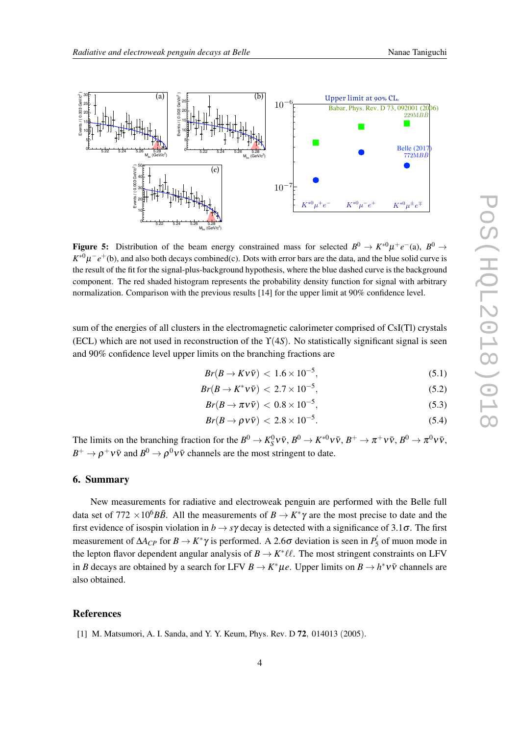<span id="page-4-0"></span>

Figure 5: Distribution of the beam energy constrained mass for selected  $B^0 \to K^{*0} \mu^+ e^-$  (a),  $B^0 \to$ *K*<sup>∗0</sup> $\mu^-e^+(b)$ , and also both decays combined(c). Dots with error bars are the data, and the blue solid curve is the result of the fit for the signal-plus-background hypothesis, where the blue dashed curve is the background component. The red shaded histogram represents the probability density function for signal with arbitrary normalization. Comparison with the previous results [14] for the upper limit at 90% confidence level.

sum of the energies of all clusters in the electromagnetic calorimeter comprised of CsI(Tl) crystals (ECL) which are not used in reconstruction of the ϒ(4*S*). No statistically significant signal is seen and 90% confidence level upper limits on the branching fractions are

$$
Br(B \to Kv\bar{v}) < 1.6 \times 10^{-5},\tag{5.1}
$$

$$
Br(B \to K^* \nu \bar{\nu}) < 2.7 \times 10^{-5}, \tag{5.2}
$$

$$
Br(B \to \pi \nu \bar{\nu}) < 0.8 \times 10^{-5}, \tag{5.3}
$$

$$
Br(B \to \rho v \bar{v}) < 2.8 \times 10^{-5}.
$$
 (5.4)

The limits on the branching fraction for the  $B^0 \to K_S^0 \nu \bar{\nu}$ ,  $B^0 \to K^{*0} \nu \bar{\nu}$ ,  $B^+ \to \pi^+ \nu \bar{\nu}$ ,  $B^0 \to \pi^0 \nu \bar{\nu}$ ,  $B^+ \to \rho^+ \nu \bar{\nu}$  and  $B^0 \to \rho^0 \nu \bar{\nu}$  channels are the most stringent to date.

### 6. Summary

New measurements for radiative and electroweak penguin are performed with the Belle full data set of  $772 \times 10^6 B\overline{B}$ . All the measurements of  $B \to K^* \gamma$  are the most precise to date and the first evidence of isospin violation in  $b \to s\gamma$  decay is detected with a significance of 3.1 $\sigma$ . The first measurement of  $\Delta A_{CP}$  for  $B \to K^* \gamma$  is performed. A 2.6 $\sigma$  deviation is seen in  $P'_5$  of muon mode in the lepton flavor dependent angular analysis of  $B \to K^* \ell \ell$ . The most stringent constraints on LFV in *B* decays are obtained by a search for LFV  $B \to K^* \mu e$ . Upper limits on  $B \to h^* \nu \bar{\nu}$  channels are also obtained.

### References

[1] M. Matsumori, A. I. Sanda, and Y. Y. Keum, Phys*.* Rev*.* D 72*,* 014013 (2005).